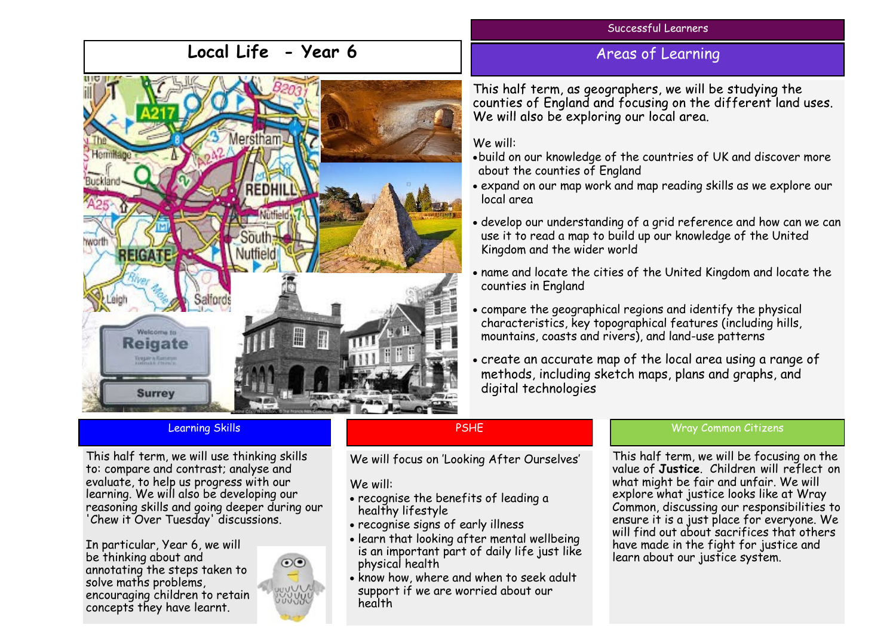### Successful Learners

# **Local Life - Year 6**



## Areas of Learning

This half term, as geographers, we will be studying the counties of England and focusing on the different land uses. We will also be exploring our local area.

### We will:

- build on our knowledge of the countries of UK and discover more about the counties of England
- expand on our map work and map reading skills as we explore our local area
- develop our understanding of a grid reference and how can we can use it to read a map to build up our knowledge of the United Kingdom and the wider world
- name and locate the cities of the United Kingdom and locate the counties in England
- compare the geographical regions and identify the physical characteristics, key topographical features (including hills, mountains, coasts and rivers), and land-use patterns
- create an accurate map of the local area using a range of methods, including sketch maps, plans and graphs, and digital technologies

This half term, we will use thinking skills to: compare and contrast; analyse and evaluate, to help us progress with our learning. We will also be developing our reasoning skills and going deeper during our 'Chew it Over Tuesday' discussions.

In particular, Year 6, we will be thinking about and annotating the steps taken to solve maths problems, encouraging children to retain concepts they have learnt.

# PSHE

We will focus on 'Looking After Ourselves'

## We will:

- recognise the benefits of leading a healthy lifestyle
- recognise signs of early illness
- learn that looking after mental wellbeing is an important part of daily life just like physical health
- know how, where and when to seek adult support if we are worried about our health

### Learning Skills **Common Citizens** Common Citizens **Common Citizens** Common Citizens and Common Citizens Common Citizens

This half term, we will be focusing on the value of **Justice**. Children will reflect on what might be fair and unfair. We will explore what justice looks like at Wray Common, discussing our responsibilities to ensure it is a just place for everyone. We will find out about sacrifices that others have made in the fight for justice and learn about our justice system.